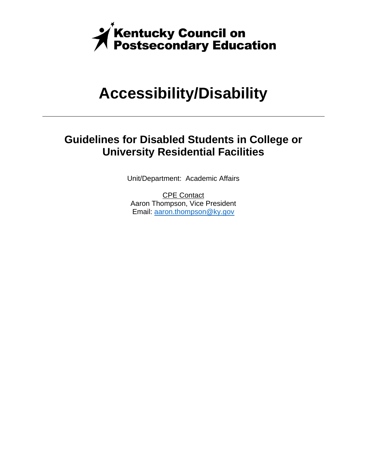

# **Accessibility/Disability**

## **Guidelines for Disabled Students in College or University Residential Facilities**

Unit/Department: Academic Affairs

CPE Contact Aaron Thompson, Vice President Email: aaron.thompson@ky.gov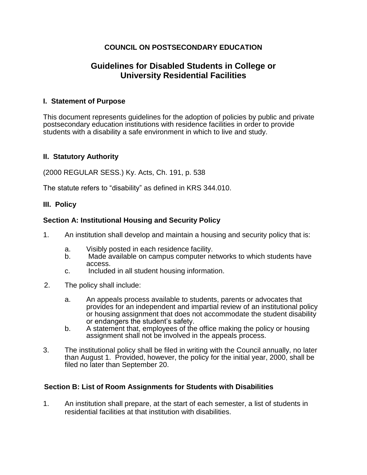#### **COUNCIL ON POSTSECONDARY EDUCATION**

### **Guidelines for Disabled Students in College or University Residential Facilities**

#### **I. Statement of Purpose**

This document represents guidelines for the adoption of policies by public and private postsecondary education institutions with residence facilities in order to provide students with a disability a safe environment in which to live and study.

#### **II. Statutory Authority**

(2000 REGULAR SESS.) Ky. Acts, Ch. 191, p. 538

The statute refers to "disability" as defined in KRS 344.010.

#### **III. Policy**

#### **Section A: Institutional Housing and Security Policy**

- 1. An institution shall develop and maintain a housing and security policy that is:
	- a. Visibly posted in each residence facility.
	- b. Made available on campus computer networks to which students have access.
	- c. Included in all student housing information.
- 2. The policy shall include:
	- a. An appeals process available to students, parents or advocates that provides for an independent and impartial review of an institutional policy or housing assignment that does not accommodate the student disability or endangers the student's safety.
	- b. A statement that, employees of the office making the policy or housing assignment shall not be involved in the appeals process.
- 3. The institutional policy shall be filed in writing with the Council annually, no later than August 1. Provided, however, the policy for the initial year, 2000, shall be filed no later than September 20.

#### **Section B: List of Room Assignments for Students with Disabilities**

1. An institution shall prepare, at the start of each semester, a list of students in residential facilities at that institution with disabilities.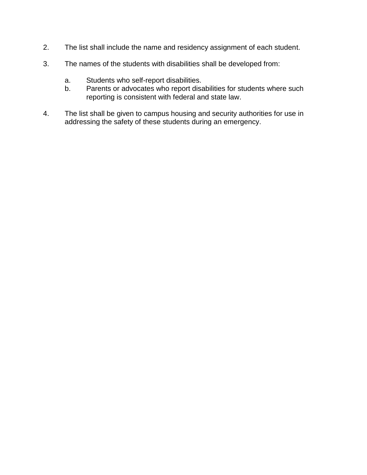- 2. The list shall include the name and residency assignment of each student.
- 3. The names of the students with disabilities shall be developed from:
	- a. Students who self-report disabilities.
	- b. Parents or advocates who report disabilities for students where such reporting is consistent with federal and state law.
- 4. The list shall be given to campus housing and security authorities for use in addressing the safety of these students during an emergency.